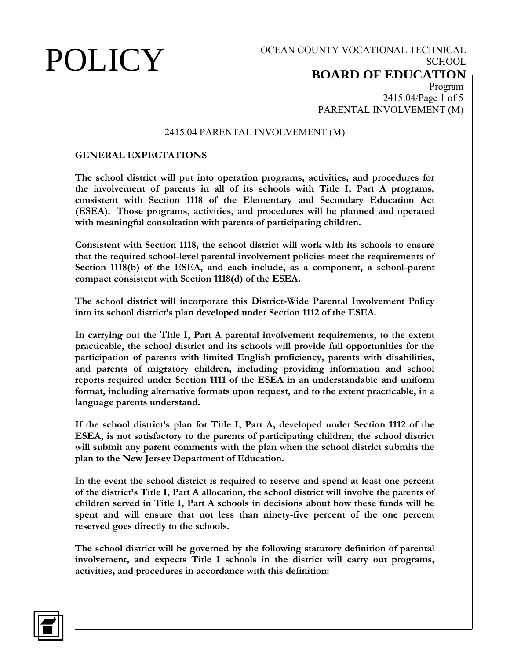# **BOARD OF EDUCATION**

Program 2415.04/Page 1 of 5 PARENTAL INVOLVEMENT (M)

### 2415.04 PARENTAL INVOLVEMENT (M)

### **GENERAL EXPECTATIONS**

**The school district will put into operation programs, activities, and procedures for the involvement of parents in all of its schools with Title I, Part A programs, consistent with Section 1118 of the Elementary and Secondary Education Act (ESEA). Those programs, activities, and procedures will be planned and operated with meaningful consultation with parents of participating children.**

**Consistent with Section 1118, the school district will work with its schools to ensure that the required school-level parental involvement policies meet the requirements of Section 1118(b) of the ESEA, and each include, as a component, a school-parent compact consistent with Section 1118(d) of the ESEA.**

**The school district will incorporate this District-Wide Parental Involvement Policy into its school district's plan developed under Section 1112 of the ESEA.**

**In carrying out the Title I, Part A parental involvement requirements, to the extent practicable, the school district and its schools will provide full opportunities for the participation of parents with limited English proficiency, parents with disabilities, and parents of migratory children, including providing information and school reports required under Section 1111 of the ESEA in an understandable and uniform format, including alternative formats upon request, and to the extent practicable, in a language parents understand.**

**If the school district's plan for Title I, Part A, developed under Section 1112 of the ESEA, is not satisfactory to the parents of participating children, the school district will submit any parent comments with the plan when the school district submits the plan to the New Jersey Department of Education.**

**In the event the school district is required to reserve and spend at least one percent of the district's Title I, Part A allocation, the school district will involve the parents of children served in Title I, Part A schools in decisions about how these funds will be spent and will ensure that not less than ninety-five percent of the one percent reserved goes directly to the schools.**

**The school district will be governed by the following statutory definition of parental involvement, and expects Title I schools in the district will carry out programs, activities, and procedures in accordance with this definition:**

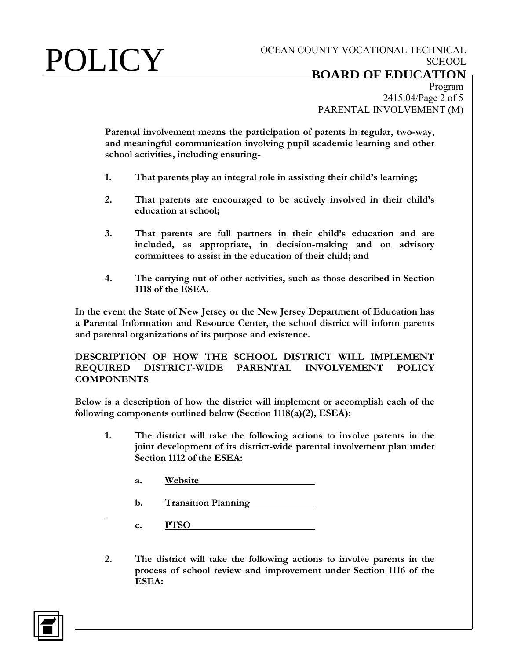Program 2415.04/Page 2 of 5 PARENTAL INVOLVEMENT (M)

**Parental involvement means the participation of parents in regular, two-way, and meaningful communication involving pupil academic learning and other school activities, including ensuring-**

- **1. That parents play an integral role in assisting their child's learning;**
- **2. That parents are encouraged to be actively involved in their child's education at school;**
- **3. That parents are full partners in their child's education and are included, as appropriate, in decision-making and on advisory committees to assist in the education of their child; and**
- **4. The carrying out of other activities, such as those described in Section 1118 of the ESEA.**

**In the event the State of New Jersey or the New Jersey Department of Education has a Parental Information and Resource Center, the school district will inform parents and parental organizations of its purpose and existence.**

**DESCRIPTION OF HOW THE SCHOOL DISTRICT WILL IMPLEMENT REQUIRED DISTRICT-WIDE PARENTAL INVOLVEMENT POLICY COMPONENTS**

**Below is a description of how the district will implement or accomplish each of the following components outlined below (Section 1118(a)(2), ESEA):**

- **1. The district will take the following actions to involve parents in the joint development of its district-wide parental involvement plan under Section 1112 of the ESEA:**
	- **a. Website**
	- **b. Transition Planning**
	- **c. PTSO**
- **2. The district will take the following actions to involve parents in the process of school review and improvement under Section 1116 of the ESEA:**

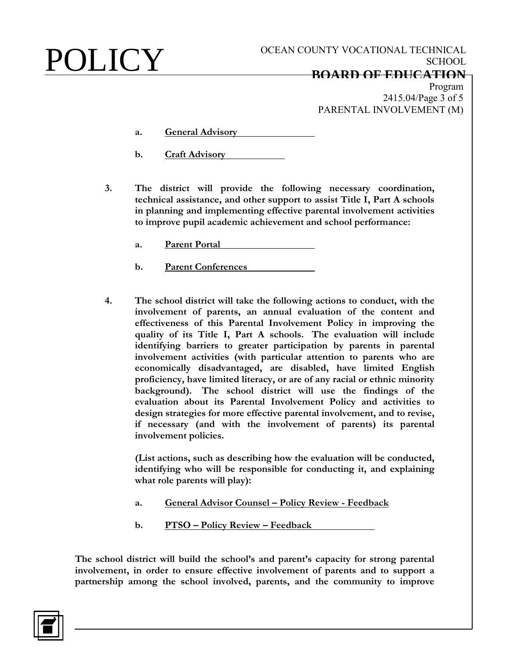## **BOARD OF EDUCATION**

Program 2415.04/Page 3 of 5 PARENTAL INVOLVEMENT (M)

- **a. General Advisory**
- **b. Craft Advisory**
- **3. The district will provide the following necessary coordination, technical assistance, and other support to assist Title I, Part A schools in planning and implementing effective parental involvement activities to improve pupil academic achievement and school performance:**
	- **a. Parent Portal**
	- **b. Parent Conferences**
- **4. The school district will take the following actions to conduct, with the involvement of parents, an annual evaluation of the content and effectiveness of this Parental Involvement Policy in improving the quality of its Title I, Part A schools. The evaluation will include identifying barriers to greater participation by parents in parental involvement activities (with particular attention to parents who are economically disadvantaged, are disabled, have limited English proficiency, have limited literacy, or are of any racial or ethnic minority background). The school district will use the findings of the evaluation about its Parental Involvement Policy and activities to design strategies for more effective parental involvement, and to revise, if necessary (and with the involvement of parents) its parental involvement policies.**

**(List actions, such as describing how the evaluation will be conducted, identifying who will be responsible for conducting it, and explaining what role parents will play):**

- **a. General Advisor Counsel – Policy Review - Feedback**
- **b. PTSO – Policy Review – Feedback**

**The school district will build the school's and parent's capacity for strong parental involvement, in order to ensure effective involvement of parents and to support a partnership among the school involved, parents, and the community to improve** 

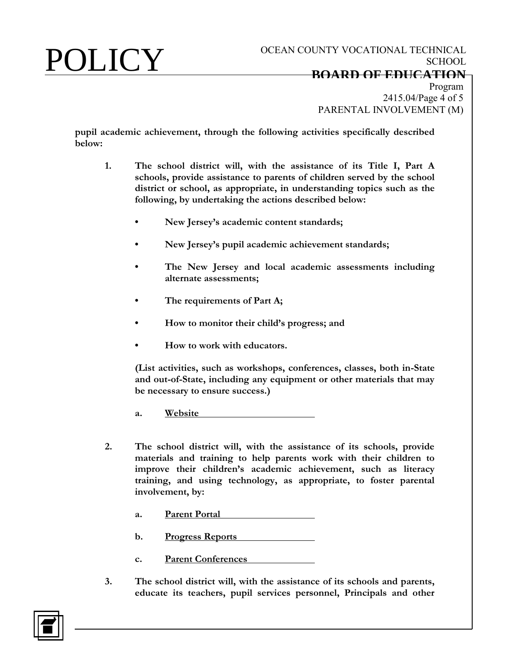2415.04/Page 4 of 5 PARENTAL INVOLVEMENT (M)

**pupil academic achievement, through the following activities specifically described below:**

- **1. The school district will, with the assistance of its Title I, Part A schools, provide assistance to parents of children served by the school district or school, as appropriate, in understanding topics such as the following, by undertaking the actions described below:**
	- **• New Jersey's academic content standards;**
	- **• New Jersey's pupil academic achievement standards;**
	- **• The New Jersey and local academic assessments including alternate assessments;**
	- **• The requirements of Part A;**
	- **• How to monitor their child's progress; and**
	- **• How to work with educators.**

**(List activities, such as workshops, conferences, classes, both in-State and out-of-State, including any equipment or other materials that may be necessary to ensure success.)**

**a. Website** 

- **2. The school district will, with the assistance of its schools, provide materials and training to help parents work with their children to improve their children's academic achievement, such as literacy training, and using technology, as appropriate, to foster parental involvement, by:**
	- **a. Parent Portal**
	- **b. Progress Reports**
	- **c. Parent Conferences**
- **3. The school district will, with the assistance of its schools and parents, educate its teachers, pupil services personnel, Principals and other**